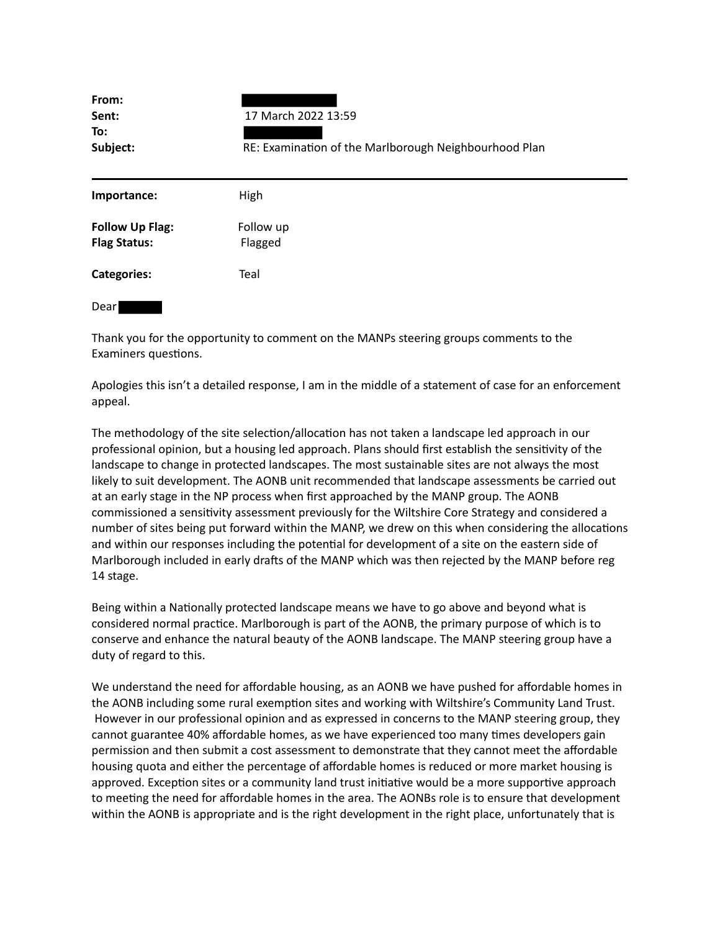| From:<br>Sent:<br>To:<br>Subject:             | 17 March 2022 13:59<br>RE: Examination of the Marlborough Neighbourhood Plan |
|-----------------------------------------------|------------------------------------------------------------------------------|
| Importance:                                   | High                                                                         |
| <b>Follow Up Flag:</b><br><b>Flag Status:</b> | Follow up<br>Flagged                                                         |
| <b>Categories:</b>                            | Teal                                                                         |
| Dear                                          |                                                                              |

Thank you for the opportunity to comment on the MANPs steering groups comments to the Examiners questions.

Apologies this isn't a detailed response, I am in the middle of a statement of case for an enforcement appeal.

The methodology of the site selection/allocation has not taken a landscape led approach in our professional opinion, but a housing led approach. Plans should first establish the sensitivity of the landscape to change in protected landscapes. The most sustainable sites are not always the most likely to suit development. The AONB unit recommended that landscape assessments be carried out at an early stage in the NP process when first approached by the MANP group. The AONB commissioned a sensitivity assessment previously for the Wiltshire Core Strategy and considered a number of sites being put forward within the MANP, we drew on this when considering the allocations and within our responses including the potential for development of a site on the eastern side of Marlborough included in early drafts of the MANP which was then rejected by the MANP before reg 14 stage.

Being within a Nationally protected landscape means we have to go above and beyond what is considered normal practice. Marlborough is part of the AONB, the primary purpose of which is to conserve and enhance the natural beauty of the AONB landscape. The MANP steering group have a duty of regard to this.

We understand the need for affordable housing, as an AONB we have pushed for affordable homes in the AONB including some rural exemption sites and working with Wiltshire's Community Land Trust. However in our professional opinion and as expressed in concerns to the MANP steering group, they cannot guarantee 40% affordable homes, as we have experienced too many times developers gain permission and then submit a cost assessment to demonstrate that they cannot meet the affordable housing quota and either the percentage of affordable homes is reduced or more market housing is approved. Exception sites or a community land trust initiative would be a more supportive approach to meeting the need for affordable homes in the area. The AONBs role is to ensure that development within the AONB is appropriate and is the right development in the right place, unfortunately that is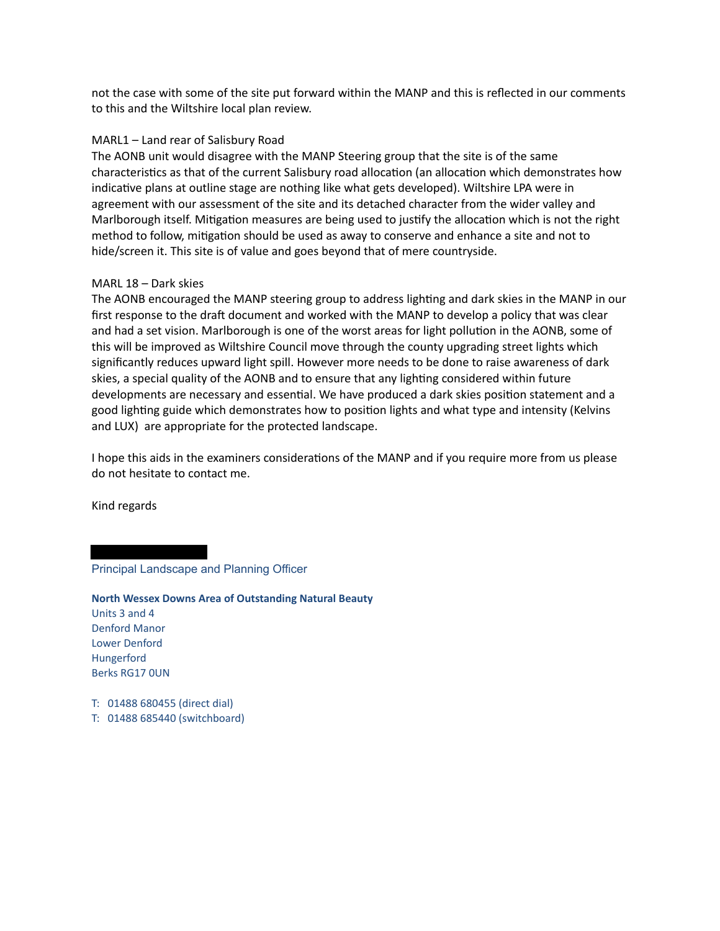not the case with some of the site put forward within the MANP and this is reflected in our comments to this and the Wiltshire local plan review.

## MARL1 – Land rear of Salisbury Road

The AONB unit would disagree with the MANP Steering group that the site is of the same characteristics as that of the current Salisbury road allocation (an allocation which demonstrates how indicative plans at outline stage are nothing like what gets developed). Wiltshire LPA were in agreement with our assessment of the site and its detached character from the wider valley and Marlborough itself. Mitigation measures are being used to justify the allocation which is not the right method to follow, mitigation should be used as away to conserve and enhance a site and not to hide/screen it. This site is of value and goes beyond that of mere countryside.

## MARL 18 – Dark skies

The AONB encouraged the MANP steering group to address lighting and dark skies in the MANP in our first response to the draft document and worked with the MANP to develop a policy that was clear and had a set vision. Marlborough is one of the worst areas for light pollution in the AONB, some of this will be improved as Wiltshire Council move through the county upgrading street lights which significantly reduces upward light spill. However more needs to be done to raise awareness of dark skies, a special quality of the AONB and to ensure that any lighting considered within future developments are necessary and essential. We have produced a dark skies position statement and a good lighting guide which demonstrates how to position lights and what type and intensity (Kelvins and LUX) are appropriate for the protected landscape.

I hope this aids in the examiners considerations of the MANP and if you require more from us please do not hesitate to contact me.

Kind regards

## Principal Landscape and Planning Officer

**North Wessex Downs Area of Outstanding Natural Beauty** Units 3 and 4 Denford Manor Lower Denford Hungerford Berks RG17 0UN

- T: 01488 680455 (direct dial)
- T: 01488 685440 (switchboard)